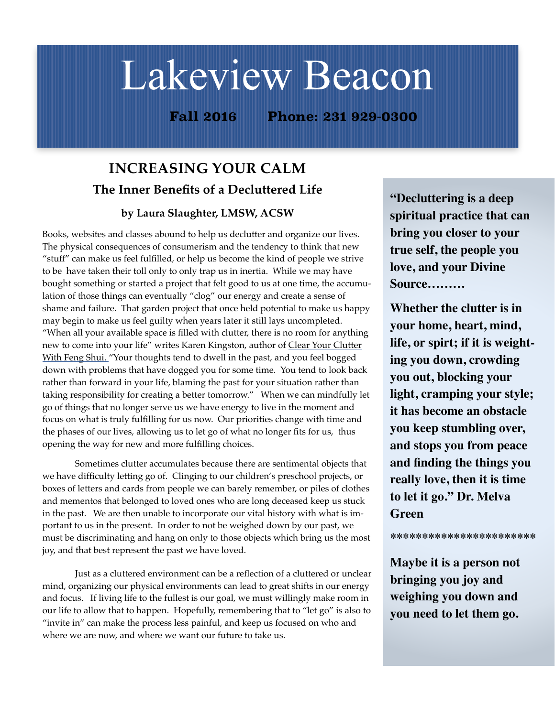# Lakeview Beacon

**Fall 2016 Phone: 231 929-0300**

# **INCREASING YOUR CALM The Inner Benefits of a Decluttered Life**

#### **by Laura Slaughter, LMSW, ACSW**

Books, websites and classes abound to help us declutter and organize our lives. The physical consequences of consumerism and the tendency to think that new "stuff" can make us feel fulfilled, or help us become the kind of people we strive to be have taken their toll only to only trap us in inertia. While we may have bought something or started a project that felt good to us at one time, the accumulation of those things can eventually "clog" our energy and create a sense of shame and failure. That garden project that once held potential to make us happy may begin to make us feel guilty when years later it still lays uncompleted. "When all your available space is filled with clutter, there is no room for anything new to come into your life" writes Karen Kingston, author of Clear Your Clutter With Feng Shui. "Your thoughts tend to dwell in the past, and you feel bogged down with problems that have dogged you for some time. You tend to look back rather than forward in your life, blaming the past for your situation rather than taking responsibility for creating a better tomorrow." When we can mindfully let go of things that no longer serve us we have energy to live in the moment and focus on what is truly fulfilling for us now. Our priorities change with time and the phases of our lives, allowing us to let go of what no longer fits for us, thus opening the way for new and more fulfilling choices.

Sometimes clutter accumulates because there are sentimental objects that we have difficulty letting go of. Clinging to our children's preschool projects, or boxes of letters and cards from people we can barely remember, or piles of clothes and mementos that belonged to loved ones who are long deceased keep us stuck in the past. We are then unable to incorporate our vital history with what is important to us in the present. In order to not be weighed down by our past, we must be discriminating and hang on only to those objects which bring us the most joy, and that best represent the past we have loved.

Just as a cluttered environment can be a reflection of a cluttered or unclear mind, organizing our physical environments can lead to great shifts in our energy and focus. If living life to the fullest is our goal, we must willingly make room in our life to allow that to happen. Hopefully, remembering that to "let go" is also to "invite in" can make the process less painful, and keep us focused on who and where we are now, and where we want our future to take us.

**"Decluttering is a deep spiritual practice that can bring you closer to your true self, the people you love, and your Divine Source………**

**Whether the clutter is in your home, heart, mind, life, or spirt; if it is weighting you down, crowding you out, blocking your light, cramping your style; it has become an obstacle you keep stumbling over, and stops you from peace and finding the things you really love, then it is time to let it go." Dr. Melva Green**

**\*\*\*\*\*\*\*\*\*\*\*\*\*\*\*\*\*\*\*\*\*\*\***

**Maybe it is a person not bringing you joy and weighing you down and you need to let them go.**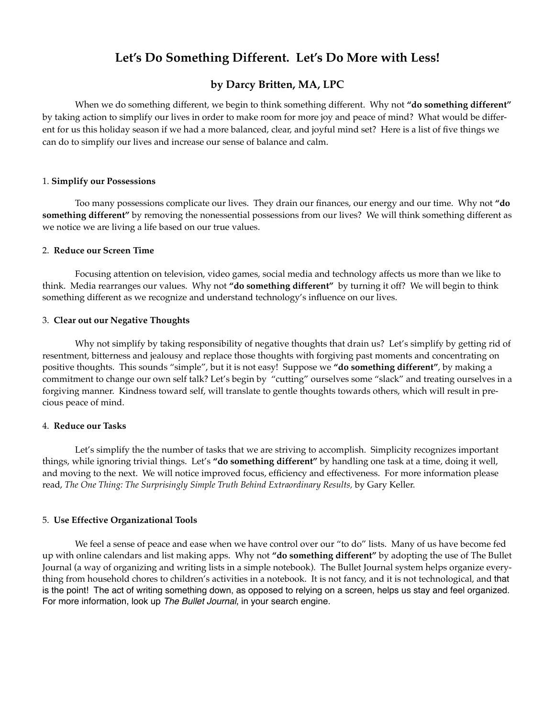## **Let's Do Something Different. Let's Do More with Less!**

### **by Darcy Britten, MA, LPC**

When we do something different, we begin to think something different. Why not **"do something different"** by taking action to simplify our lives in order to make room for more joy and peace of mind? What would be different for us this holiday season if we had a more balanced, clear, and joyful mind set? Here is a list of five things we can do to simplify our lives and increase our sense of balance and calm.

#### 1. **Simplify our Possessions**

Too many possessions complicate our lives. They drain our finances, our energy and our time. Why not **"do something different"** by removing the nonessential possessions from our lives? We will think something different as we notice we are living a life based on our true values.

#### 2. **Reduce our Screen Time**

Focusing attention on television, video games, social media and technology affects us more than we like to think. Media rearranges our values. Why not **"do something different"** by turning it off? We will begin to think something different as we recognize and understand technology's influence on our lives.

#### 3. **Clear out our Negative Thoughts**

Why not simplify by taking responsibility of negative thoughts that drain us? Let's simplify by getting rid of resentment, bitterness and jealousy and replace those thoughts with forgiving past moments and concentrating on positive thoughts. This sounds "simple", but it is not easy! Suppose we **"do something different"**, by making a commitment to change our own self talk? Let's begin by "cutting" ourselves some "slack" and treating ourselves in a forgiving manner. Kindness toward self, will translate to gentle thoughts towards others, which will result in precious peace of mind.

#### 4. **Reduce our Tasks**

Let's simplify the the number of tasks that we are striving to accomplish. Simplicity recognizes important things, while ignoring trivial things. Let's **"do something different"** by handling one task at a time, doing it well, and moving to the next. We will notice improved focus, efficiency and effectiveness. For more information please read, *The One Thing: The Surprisingly Simple Truth Behind Extraordinary Results*, by Gary Keller.

#### 5. **Use Effective Organizational Tools**

We feel a sense of peace and ease when we have control over our "to do" lists. Many of us have become fed up with online calendars and list making apps. Why not **"do something different"** by adopting the use of The Bullet Journal (a way of organizing and writing lists in a simple notebook). The Bullet Journal system helps organize everything from household chores to children's activities in a notebook. It is not fancy, and it is not technological, and that is the point! The act of writing something down, as opposed to relying on a screen, helps us stay and feel organized. For more information, look up *The Bullet Journal*, in your search engine.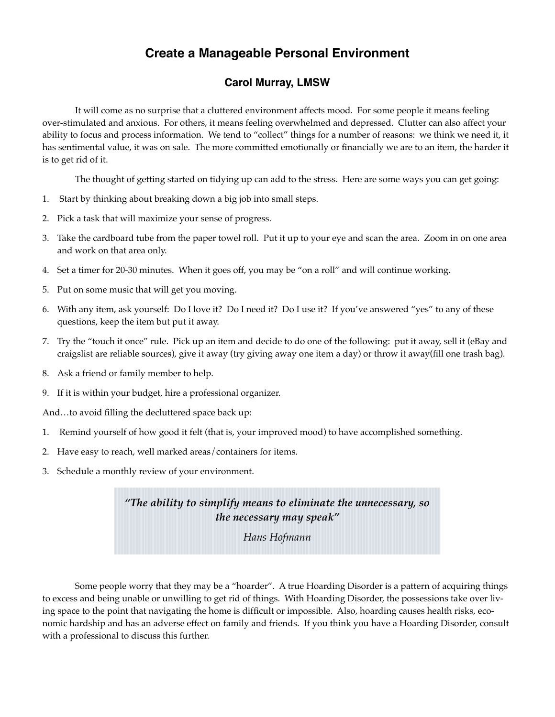# **Create a Manageable Personal Environment**

### **Carol Murray, LMSW**

It will come as no surprise that a cluttered environment affects mood. For some people it means feeling over-stimulated and anxious. For others, it means feeling overwhelmed and depressed. Clutter can also affect your ability to focus and process information. We tend to "collect" things for a number of reasons: we think we need it, it has sentimental value, it was on sale. The more committed emotionally or financially we are to an item, the harder it is to get rid of it.

The thought of getting started on tidying up can add to the stress. Here are some ways you can get going:

- 1. Start by thinking about breaking down a big job into small steps.
- 2. Pick a task that will maximize your sense of progress.
- 3. Take the cardboard tube from the paper towel roll. Put it up to your eye and scan the area. Zoom in on one area and work on that area only.
- 4. Set a timer for 20-30 minutes. When it goes off, you may be "on a roll" and will continue working.
- 5. Put on some music that will get you moving.
- 6. With any item, ask yourself: Do I love it? Do I need it? Do I use it? If you've answered "yes" to any of these questions, keep the item but put it away.
- 7. Try the "touch it once" rule. Pick up an item and decide to do one of the following: put it away, sell it (eBay and craigslist are reliable sources), give it away (try giving away one item a day) or throw it away(fill one trash bag).
- 8. Ask a friend or family member to help.
- 9. If it is within your budget, hire a professional organizer.

And…to avoid filling the decluttered space back up:

- 1. Remind yourself of how good it felt (that is, your improved mood) to have accomplished something.
- 2. Have easy to reach, well marked areas/containers for items.
- 3. Schedule a monthly review of your environment.



Some people worry that they may be a "hoarder". A true Hoarding Disorder is a pattern of acquiring things to excess and being unable or unwilling to get rid of things. With Hoarding Disorder, the possessions take over living space to the point that navigating the home is difficult or impossible. Also, hoarding causes health risks, economic hardship and has an adverse effect on family and friends. If you think you have a Hoarding Disorder, consult with a professional to discuss this further.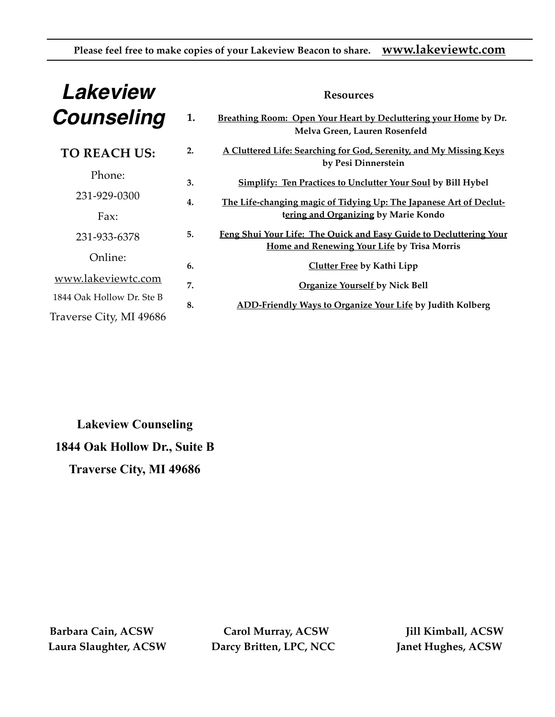| Lakeview                  |    | <b>Resources</b>                                                                                                         |
|---------------------------|----|--------------------------------------------------------------------------------------------------------------------------|
| <b>Counseling</b>         | 1. | Breathing Room: Open Your Heart by Decluttering your Home by Dr.<br>Melva Green, Lauren Rosenfeld                        |
| <b>TO REACH US:</b>       | 2. | A Cluttered Life: Searching for God, Serenity, and My Missing Keys<br>by Pesi Dinnerstein                                |
| Phone:                    | 3. | <b>Simplify: Ten Practices to Unclutter Your Soul by Bill Hybel</b>                                                      |
| 231-929-0300              | 4. | The Life-changing magic of Tidying Up: The Japanese Art of Declut-                                                       |
| Fax:                      |    | tering and Organizing by Marie Kondo                                                                                     |
| 231-933-6378              | 5. | Feng Shui Your Life: The Quick and Easy Guide to Decluttering Your<br><b>Home and Renewing Your Life by Trisa Morris</b> |
| Online:                   | 6. | <b>Clutter Free by Kathi Lipp</b>                                                                                        |
| www.lakeviewtc.com        | 7. | <b>Organize Yourself by Nick Bell</b>                                                                                    |
| 1844 Oak Hollow Dr. Ste B | 8. | ADD-Friendly Ways to Organize Your Life by Judith Kolberg                                                                |
| Traverse City, MI 49686   |    |                                                                                                                          |

**Lakeview Counseling 1844 Oak Hollow Dr., Suite B Traverse City, MI 49686**

 **Barbara Cain, ACSW Carol Murray, ACSW Jill Kimball, ACSW Laura Slaughter, ACSW Darcy Britten, LPC, NCC Janet Hughes, ACSW**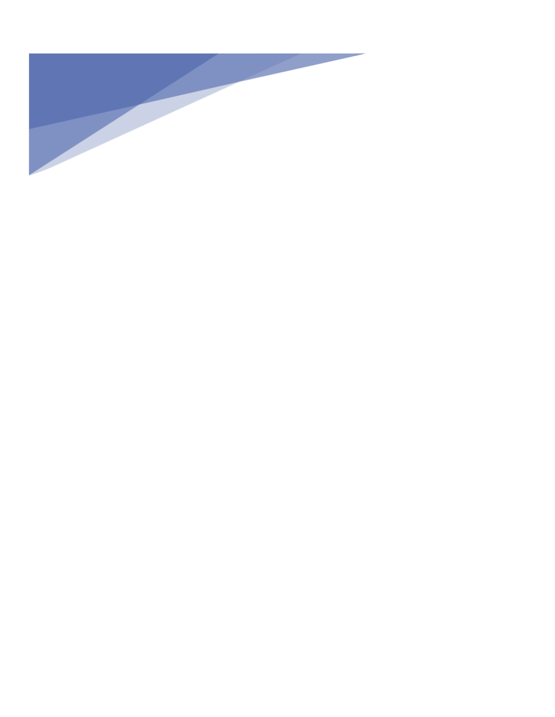